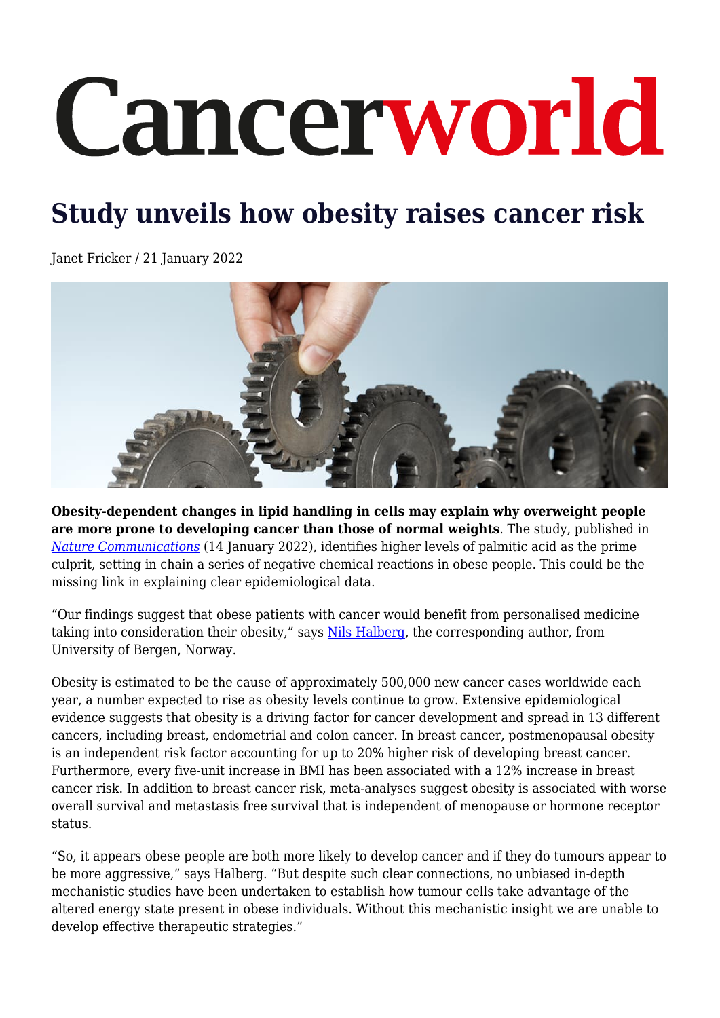## Cancerworld

## **Study unveils how obesity raises cancer risk**

Janet Fricker / 21 January 2022



**Obesity-dependent changes in lipid handling in cells may explain why overweight people are more prone to developing cancer than those of normal weights**. The study, published in *[Nature Communications](https://www.nature.com/articles/s41467-021-27734-2)* (14 January 2022), identifies higher levels of palmitic acid as the prime culprit, setting in chain a series of negative chemical reactions in obese people. This could be the missing link in explaining clear epidemiological data.

"Our findings suggest that obese patients with cancer would benefit from personalised medicine taking into consideration their obesity," says [Nils Halberg](http://www.halberglab.com), the corresponding author, from University of Bergen, Norway.

Obesity is estimated to be the cause of approximately 500,000 new cancer cases worldwide each year, a number expected to rise as obesity levels continue to grow. Extensive epidemiological evidence suggests that obesity is a driving factor for cancer development and spread in 13 different cancers, including breast, endometrial and colon cancer. In breast cancer, postmenopausal obesity is an independent risk factor accounting for up to 20% higher risk of developing breast cancer. Furthermore, every five-unit increase in BMI has been associated with a 12% increase in breast cancer risk. In addition to breast cancer risk, meta-analyses suggest obesity is associated with worse overall survival and metastasis free survival that is independent of menopause or hormone receptor status.

"So, it appears obese people are both more likely to develop cancer and if they do tumours appear to be more aggressive," says Halberg. "But despite such clear connections, no unbiased in-depth mechanistic studies have been undertaken to establish how tumour cells take advantage of the altered energy state present in obese individuals. Without this mechanistic insight we are unable to develop effective therapeutic strategies."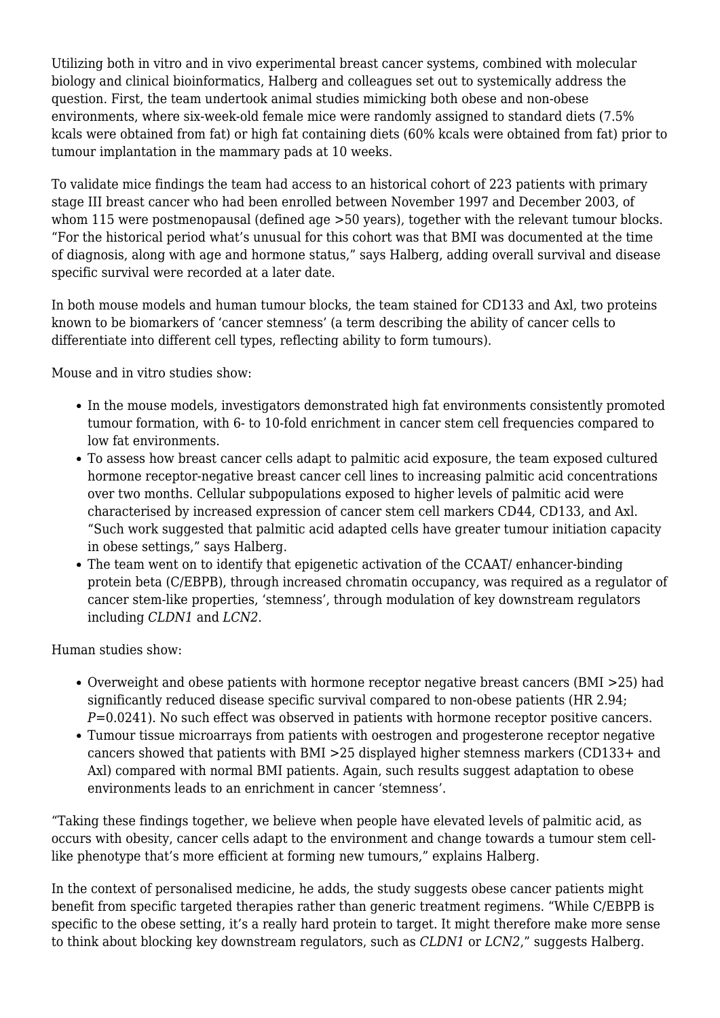Utilizing both in vitro and in vivo experimental breast cancer systems, combined with molecular biology and clinical bioinformatics, Halberg and colleagues set out to systemically address the question. First, the team undertook animal studies mimicking both obese and non-obese environments, where six-week-old female mice were randomly assigned to standard diets (7.5% kcals were obtained from fat) or high fat containing diets (60% kcals were obtained from fat) prior to tumour implantation in the mammary pads at 10 weeks.

To validate mice findings the team had access to an historical cohort of 223 patients with primary stage III breast cancer who had been enrolled between November 1997 and December 2003, of whom 115 were postmenopausal (defined age  $>50$  years), together with the relevant tumour blocks. "For the historical period what's unusual for this cohort was that BMI was documented at the time of diagnosis, along with age and hormone status," says Halberg, adding overall survival and disease specific survival were recorded at a later date.

In both mouse models and human tumour blocks, the team stained for CD133 and Axl, two proteins known to be biomarkers of 'cancer stemness' (a term describing the ability of cancer cells to differentiate into different cell types, reflecting ability to form tumours).

Mouse and in vitro studies show:

- In the mouse models, investigators demonstrated high fat environments consistently promoted tumour formation, with 6- to 10-fold enrichment in cancer stem cell frequencies compared to low fat environments.
- To assess how breast cancer cells adapt to palmitic acid exposure, the team exposed cultured hormone receptor-negative breast cancer cell lines to increasing palmitic acid concentrations over two months. Cellular subpopulations exposed to higher levels of palmitic acid were characterised by increased expression of cancer stem cell markers CD44, CD133, and Axl. "Such work suggested that palmitic acid adapted cells have greater tumour initiation capacity in obese settings," says Halberg.
- The team went on to identify that epigenetic activation of the CCAAT/ enhancer-binding protein beta (C/EBPB), through increased chromatin occupancy, was required as a regulator of cancer stem-like properties, 'stemness', through modulation of key downstream regulators including *CLDN1* and *LCN2*.

Human studies show:

- Overweight and obese patients with hormone receptor negative breast cancers (BMI >25) had significantly reduced disease specific survival compared to non-obese patients (HR 2.94; *P*=0.0241). No such effect was observed in patients with hormone receptor positive cancers.
- Tumour tissue microarrays from patients with oestrogen and progesterone receptor negative cancers showed that patients with BMI >25 displayed higher stemness markers (CD133+ and Axl) compared with normal BMI patients. Again, such results suggest adaptation to obese environments leads to an enrichment in cancer 'stemness'.

"Taking these findings together, we believe when people have elevated levels of palmitic acid, as occurs with obesity, cancer cells adapt to the environment and change towards a tumour stem celllike phenotype that's more efficient at forming new tumours," explains Halberg.

In the context of personalised medicine, he adds, the study suggests obese cancer patients might benefit from specific targeted therapies rather than generic treatment regimens. "While C/EBPB is specific to the obese setting, it's a really hard protein to target. It might therefore make more sense to think about blocking key downstream regulators, such as *CLDN1* or *LCN2*," suggests Halberg.